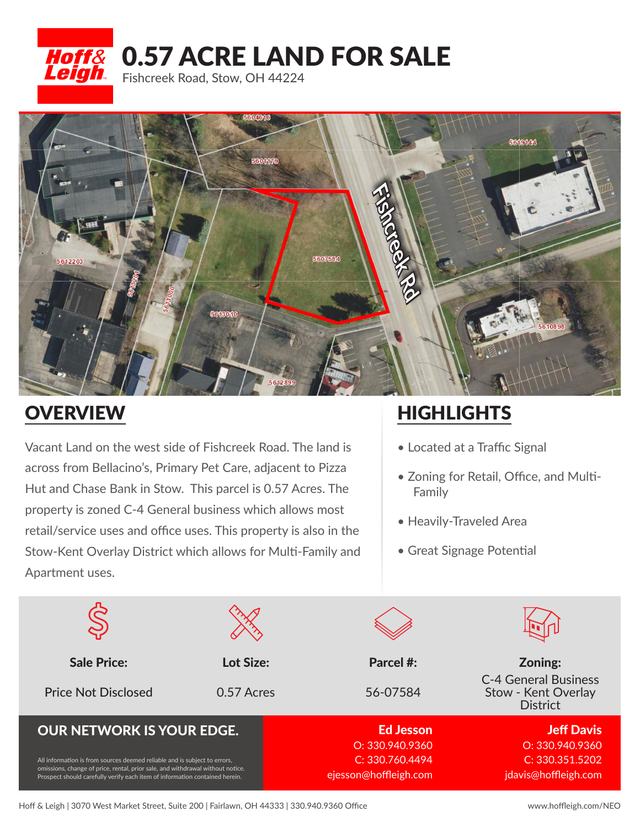

Hoff& 0.57 ACRE LAND FOR SALE

Fishcreek Road, Stow, OH 44224



## **OVERVIEW**

Vacant Land on the west side of Fishcreek Road. The land is across from Bellacino's, Primary Pet Care, adjacent to Pizza Hut and Chase Bank in Stow. This parcel is 0.57 Acres. The property is zoned C-4 General business which allows most retail/service uses and office uses. This property is also in the Stow-Kent Overlay District which allows for Multi-Family and Apartment uses.

## **HIGHLIGHTS**

- Located at a Traffic Signal
- Zoning for Retail, Office, and Multi- Family
- Heavily-Traveled Area
- Great Signage Potential

| <b>Sale Price:</b>                                                                                                                                                                                                                         | Lot Size:  | Parcel #:             | Zoning:                                                               |
|--------------------------------------------------------------------------------------------------------------------------------------------------------------------------------------------------------------------------------------------|------------|-----------------------|-----------------------------------------------------------------------|
| <b>Price Not Disclosed</b>                                                                                                                                                                                                                 | 0.57 Acres | 56-07584              | <b>C-4 General Business</b><br>Stow - Kent Overlay<br><b>District</b> |
| <b>OUR NETWORK IS YOUR EDGE.</b>                                                                                                                                                                                                           |            | <b>Ed Jesson</b>      | <b>Jeff Davis</b>                                                     |
| All information is from sources deemed reliable and is subject to errors,<br>omissions, change of price, rental, prior sale, and withdrawal without notice.<br>Prospect should carefully verify each item of information contained herein. |            | O: 330.940.9360       | O: 330.940.9360                                                       |
|                                                                                                                                                                                                                                            |            | C: 330.760.4494       | C: 330.351.5202                                                       |
|                                                                                                                                                                                                                                            |            | ejesson@hoffleigh.com | jdavis@hoffleigh.com                                                  |